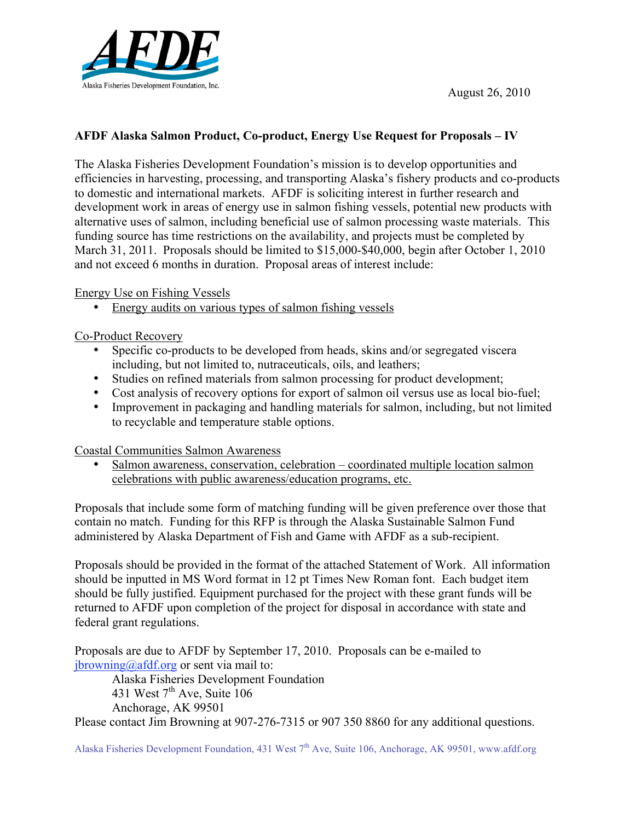

# **AFDF Alaska Salmon Product, Co-product, Energy Use Request for Proposals – IV**

The Alaska Fisheries Development Foundation's mission is to develop opportunities and efficiencies in harvesting, processing, and transporting Alaska's fishery products and co-products to domestic and international markets. AFDF is soliciting interest in further research and development work in areas of energy use in salmon fishing vessels, potential new products with alternative uses of salmon, including beneficial use of salmon processing waste materials. This funding source has time restrictions on the availability, and projects must be completed by March 31, 2011. Proposals should be limited to \$15,000-\$40,000, begin after October 1, 2010 and not exceed 6 months in duration. Proposal areas of interest include:

Energy Use on Fishing Vessels

• Energy audits on various types of salmon fishing vessels

Co-Product Recovery

- Specific co-products to be developed from heads, skins and/or segregated viscera including, but not limited to, nutraceuticals, oils, and leathers;
- Studies on refined materials from salmon processing for product development;
- Cost analysis of recovery options for export of salmon oil versus use as local bio-fuel;
- Improvement in packaging and handling materials for salmon, including, but not limited to recyclable and temperature stable options.

Coastal Communities Salmon Awareness

• Salmon awareness, conservation, celebration – coordinated multiple location salmon celebrations with public awareness/education programs, etc.

Proposals that include some form of matching funding will be given preference over those that contain no match. Funding for this RFP is through the Alaska Sustainable Salmon Fund administered by Alaska Department of Fish and Game with AFDF as a sub-recipient.

Proposals should be provided in the format of the attached Statement of Work. All information should be inputted in MS Word format in 12 pt Times New Roman font. Each budget item should be fully justified. Equipment purchased for the project with these grant funds will be returned to AFDF upon completion of the project for disposal in accordance with state and federal grant regulations.

Proposals are due to AFDF by September 17, 2010. Proposals can be e-mailed to  $ibrowning@aff.org$  or sent via mail to:

Alaska Fisheries Development Foundation 431 West  $7<sup>th</sup>$  Ave, Suite 106 Anchorage, AK 99501

Please contact Jim Browning at 907-276-7315 or 907 350 8860 for any additional questions.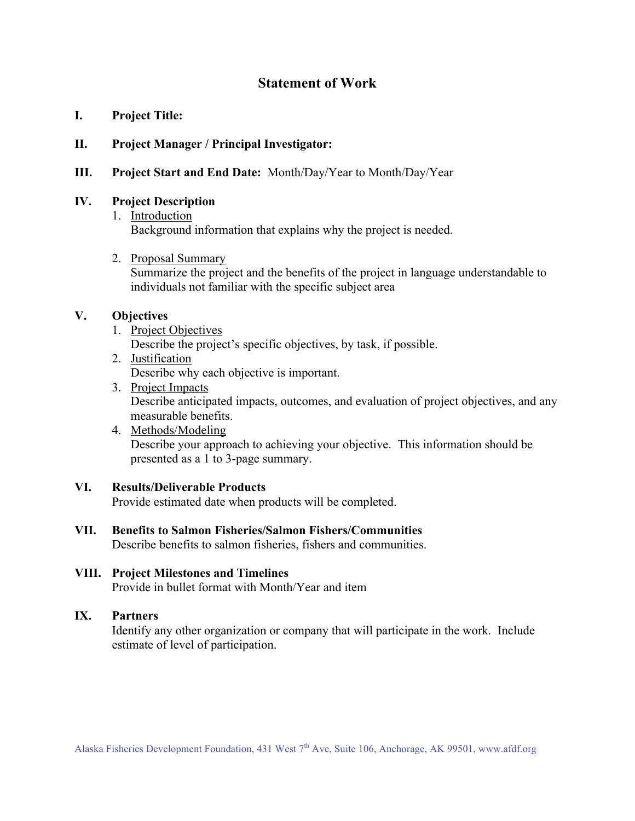# **Statement of Work**

**I. Project Title:**

### **II. Project Manager / Principal Investigator:**

**III. Project Start and End Date:** Month/Day/Year to Month/Day/Year

### **IV. Project Description**

- 1. Introduction Background information that explains why the project is needed.
- 2. Proposal Summary

Summarize the project and the benefits of the project in language understandable to individuals not familiar with the specific subject area

### **V. Objectives**

1. Project Objectives

Describe the project's specific objectives, by task, if possible.

- 2. Justification Describe why each objective is important.
- 3. Project Impacts Describe anticipated impacts, outcomes, and evaluation of project objectives, and any measurable benefits.
- 4. Methods/Modeling Describe your approach to achieving your objective. This information should be presented as a 1 to 3-page summary.

### **VI. Results/Deliverable Products**

Provide estimated date when products will be completed.

**VII. Benefits to Salmon Fisheries/Salmon Fishers/Communities** Describe benefits to salmon fisheries, fishers and communities.

#### **VIII. Project Milestones and Timelines** Provide in bullet format with Month/Year and item

### **IX. Partners**

Identify any other organization or company that will participate in the work. Include estimate of level of participation.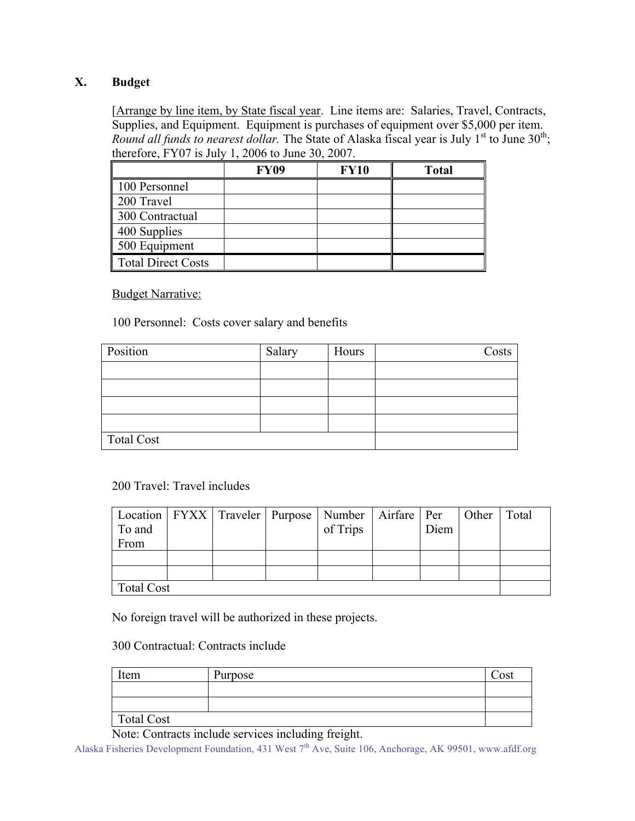# **X. Budget**

[Arrange by line item, by State fiscal year. Line items are: Salaries, Travel, Contracts, Supplies, and Equipment. Equipment is purchases of equipment over \$5,000 per item. Round all funds to nearest dollar. The State of Alaska fiscal year is July  $1<sup>st</sup>$  to June  $30<sup>th</sup>$ ; therefore, FY07 is July 1, 2006 to June 30, 2007.

|                    | <b>FY09</b> | <b>FY10</b> | <b>Total</b> |
|--------------------|-------------|-------------|--------------|
| 100 Personnel      |             |             |              |
| 200 Travel         |             |             |              |
| 300 Contractual    |             |             |              |
| 400 Supplies       |             |             |              |
| 500 Equipment      |             |             |              |
| Total Direct Costs |             |             |              |

**Budget Narrative:** 

100 Personnel: Costs cover salary and benefits

| Position   | Salary | Hours | Costs |
|------------|--------|-------|-------|
|            |        |       |       |
|            |        |       |       |
|            |        |       |       |
|            |        |       |       |
| Total Cost |        |       |       |

200 Travel: Travel includes

|                   |  |  |  | Location   FYXX   Traveler   Purpose   Number   Airfare   Per   Other |      |  | Total |
|-------------------|--|--|--|-----------------------------------------------------------------------|------|--|-------|
| To and            |  |  |  | of Trips                                                              | Diem |  |       |
| From              |  |  |  |                                                                       |      |  |       |
|                   |  |  |  |                                                                       |      |  |       |
|                   |  |  |  |                                                                       |      |  |       |
| <b>Total Cost</b> |  |  |  |                                                                       |      |  |       |

No foreign travel will be authorized in these projects.

300 Contractual: Contracts include

| Item       | Purpose | Cost |
|------------|---------|------|
|            |         |      |
|            |         |      |
| Total Cost |         |      |

Note: Contracts include services including freight.

Alaska Fisheries Development Foundation, 431 West  $7<sup>th</sup>$  Ave, Suite 106, Anchorage, AK 99501, www.afdf.org